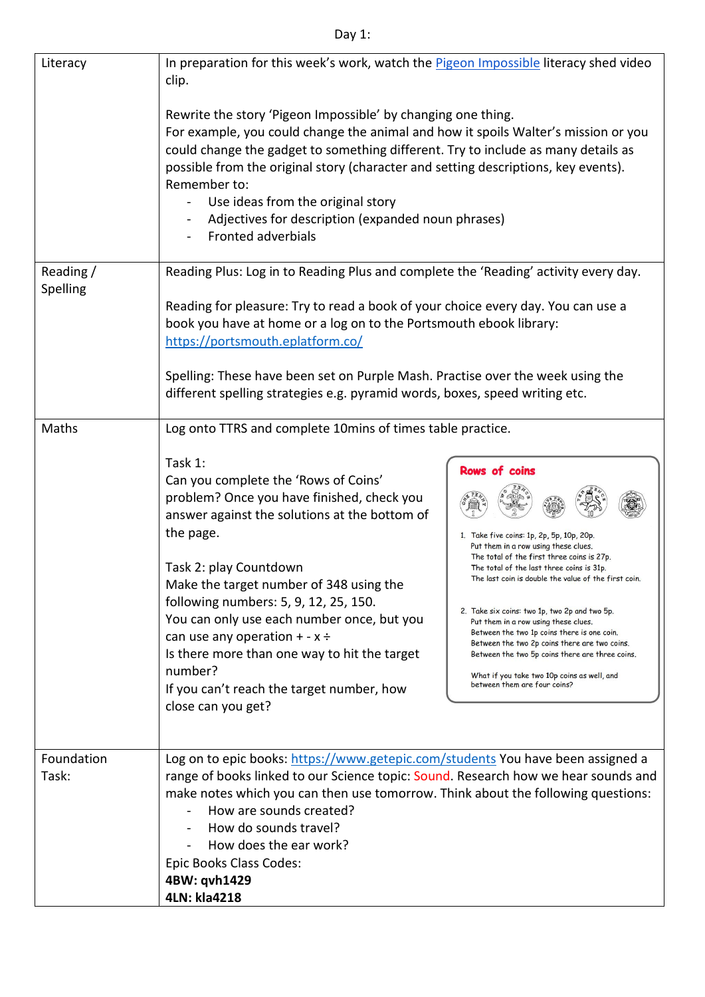## Day 1:

| Literacy              | In preparation for this week's work, watch the Pigeon Impossible literacy shed video<br>clip.                                                                                                                                                                                                                                                                                                                                                                                                                                                             |                                                                                                                                                                                                                                                                                                                                                                                                                                                                                                                                                                                         |
|-----------------------|-----------------------------------------------------------------------------------------------------------------------------------------------------------------------------------------------------------------------------------------------------------------------------------------------------------------------------------------------------------------------------------------------------------------------------------------------------------------------------------------------------------------------------------------------------------|-----------------------------------------------------------------------------------------------------------------------------------------------------------------------------------------------------------------------------------------------------------------------------------------------------------------------------------------------------------------------------------------------------------------------------------------------------------------------------------------------------------------------------------------------------------------------------------------|
|                       | Rewrite the story 'Pigeon Impossible' by changing one thing.<br>For example, you could change the animal and how it spoils Walter's mission or you<br>could change the gadget to something different. Try to include as many details as<br>possible from the original story (character and setting descriptions, key events).<br>Remember to:<br>Use ideas from the original story<br>Adjectives for description (expanded noun phrases)<br><b>Fronted adverbials</b>                                                                                     |                                                                                                                                                                                                                                                                                                                                                                                                                                                                                                                                                                                         |
| Reading /<br>Spelling | Reading Plus: Log in to Reading Plus and complete the 'Reading' activity every day.<br>Reading for pleasure: Try to read a book of your choice every day. You can use a<br>book you have at home or a log on to the Portsmouth ebook library:<br>https://portsmouth.eplatform.co/<br>Spelling: These have been set on Purple Mash. Practise over the week using the<br>different spelling strategies e.g. pyramid words, boxes, speed writing etc.                                                                                                        |                                                                                                                                                                                                                                                                                                                                                                                                                                                                                                                                                                                         |
| Maths                 | Log onto TTRS and complete 10mins of times table practice.<br>Task 1:<br>Can you complete the 'Rows of Coins'<br>problem? Once you have finished, check you<br>answer against the solutions at the bottom of<br>the page.<br>Task 2: play Countdown<br>Make the target number of 348 using the<br>following numbers: 5, 9, 12, 25, 150.<br>You can only use each number once, but you<br>can use any operation $+ - x \div$<br>Is there more than one way to hit the target<br>number?<br>If you can't reach the target number, how<br>close can you get? | <b>Rows of coins</b><br>1. Take five coins: 1p, 2p, 5p, 10p, 20p.<br>Put them in a row using these clues.<br>The total of the first three coins is 27p.<br>The total of the last three coins is 31p.<br>The last coin is double the value of the first coin.<br>2. Take six coins: two 1p, two 2p and two 5p.<br>Put them in a row using these clues.<br>Between the two 1p coins there is one coin.<br>Between the two 2p coins there are two coins.<br>Between the two 5p coins there are three coins.<br>What if you take two 10p coins as well, and<br>between them are four coins? |
| Foundation<br>Task:   | Log on to epic books: https://www.getepic.com/students You have been assigned a<br>range of books linked to our Science topic: Sound. Research how we hear sounds and<br>make notes which you can then use tomorrow. Think about the following questions:<br>How are sounds created?<br>How do sounds travel?<br>How does the ear work?<br>Epic Books Class Codes:<br>4BW: qvh1429<br>4LN: kla4218                                                                                                                                                        |                                                                                                                                                                                                                                                                                                                                                                                                                                                                                                                                                                                         |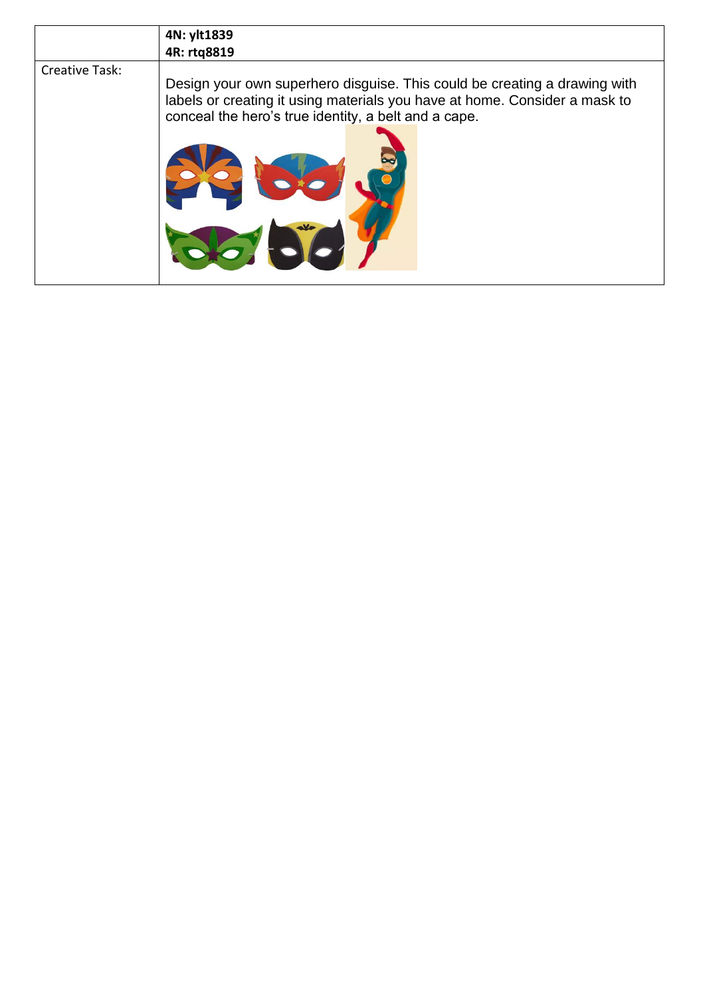|                | 4N: ylt1839                                                                                                                                                                                                     |
|----------------|-----------------------------------------------------------------------------------------------------------------------------------------------------------------------------------------------------------------|
|                | 4R: rtg8819                                                                                                                                                                                                     |
| Creative Task: | Design your own superhero disguise. This could be creating a drawing with<br>labels or creating it using materials you have at home. Consider a mask to<br>conceal the hero's true identity, a belt and a cape. |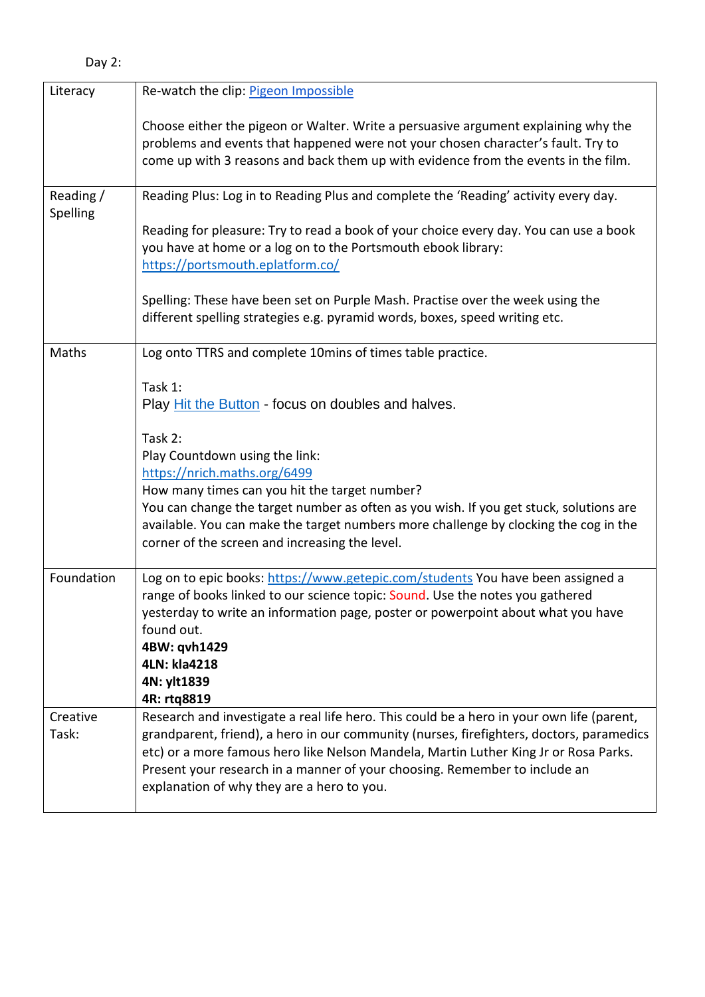| Literacy              | Re-watch the clip: Pigeon Impossible                                                                                                                                                                                                                                                                                                                                                                      |
|-----------------------|-----------------------------------------------------------------------------------------------------------------------------------------------------------------------------------------------------------------------------------------------------------------------------------------------------------------------------------------------------------------------------------------------------------|
|                       | Choose either the pigeon or Walter. Write a persuasive argument explaining why the<br>problems and events that happened were not your chosen character's fault. Try to<br>come up with 3 reasons and back them up with evidence from the events in the film.                                                                                                                                              |
| Reading /<br>Spelling | Reading Plus: Log in to Reading Plus and complete the 'Reading' activity every day.                                                                                                                                                                                                                                                                                                                       |
|                       | Reading for pleasure: Try to read a book of your choice every day. You can use a book<br>you have at home or a log on to the Portsmouth ebook library:<br>https://portsmouth.eplatform.co/                                                                                                                                                                                                                |
|                       | Spelling: These have been set on Purple Mash. Practise over the week using the<br>different spelling strategies e.g. pyramid words, boxes, speed writing etc.                                                                                                                                                                                                                                             |
| Maths                 | Log onto TTRS and complete 10mins of times table practice.                                                                                                                                                                                                                                                                                                                                                |
|                       | Task 1:<br>Play Hit the Button - focus on doubles and halves.                                                                                                                                                                                                                                                                                                                                             |
|                       | Task 2:                                                                                                                                                                                                                                                                                                                                                                                                   |
|                       | Play Countdown using the link:<br>https://nrich.maths.org/6499                                                                                                                                                                                                                                                                                                                                            |
|                       | How many times can you hit the target number?                                                                                                                                                                                                                                                                                                                                                             |
|                       | You can change the target number as often as you wish. If you get stuck, solutions are<br>available. You can make the target numbers more challenge by clocking the cog in the<br>corner of the screen and increasing the level.                                                                                                                                                                          |
| Foundation            | Log on to epic books: https://www.getepic.com/students You have been assigned a<br>range of books linked to our science topic: Sound. Use the notes you gathered<br>yesterday to write an information page, poster or powerpoint about what you have<br>found out.<br>4BW: qvh1429                                                                                                                        |
|                       | 4LN: kla4218<br>4N: ylt1839                                                                                                                                                                                                                                                                                                                                                                               |
|                       | 4R: rtq8819                                                                                                                                                                                                                                                                                                                                                                                               |
| Creative<br>Task:     | Research and investigate a real life hero. This could be a hero in your own life (parent,<br>grandparent, friend), a hero in our community (nurses, firefighters, doctors, paramedics<br>etc) or a more famous hero like Nelson Mandela, Martin Luther King Jr or Rosa Parks.<br>Present your research in a manner of your choosing. Remember to include an<br>explanation of why they are a hero to you. |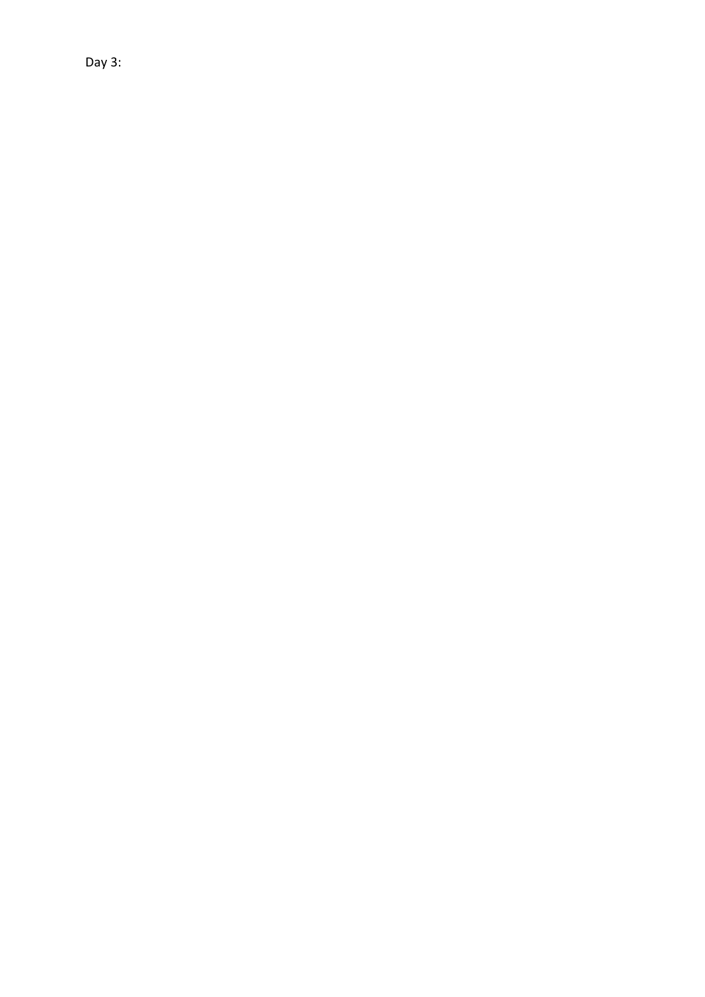Day 3: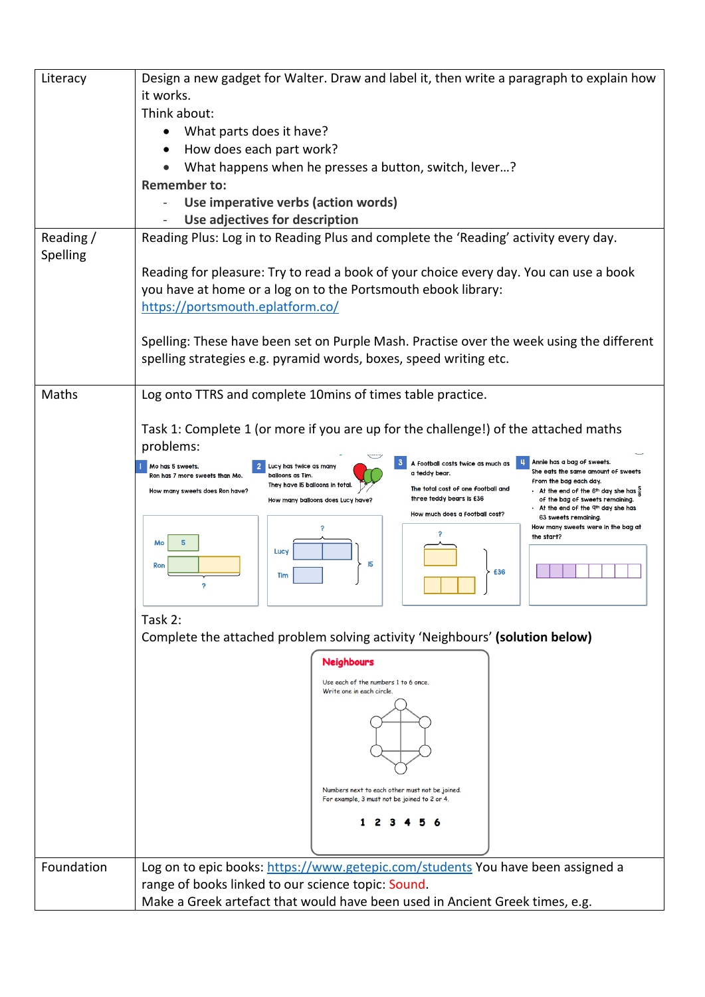| Literacy             | Design a new gadget for Walter. Draw and label it, then write a paragraph to explain how<br>it works.                                                                                                                                       |  |
|----------------------|---------------------------------------------------------------------------------------------------------------------------------------------------------------------------------------------------------------------------------------------|--|
|                      | Think about:                                                                                                                                                                                                                                |  |
|                      | What parts does it have?                                                                                                                                                                                                                    |  |
|                      | How does each part work?                                                                                                                                                                                                                    |  |
|                      | What happens when he presses a button, switch, lever?                                                                                                                                                                                       |  |
|                      | <b>Remember to:</b>                                                                                                                                                                                                                         |  |
|                      | Use imperative verbs (action words)                                                                                                                                                                                                         |  |
|                      | Use adjectives for description                                                                                                                                                                                                              |  |
| Reading/<br>Spelling | Reading Plus: Log in to Reading Plus and complete the 'Reading' activity every day.                                                                                                                                                         |  |
|                      | Reading for pleasure: Try to read a book of your choice every day. You can use a book                                                                                                                                                       |  |
|                      | you have at home or a log on to the Portsmouth ebook library:                                                                                                                                                                               |  |
|                      | https://portsmouth.eplatform.co/                                                                                                                                                                                                            |  |
|                      | Spelling: These have been set on Purple Mash. Practise over the week using the different                                                                                                                                                    |  |
|                      | spelling strategies e.g. pyramid words, boxes, speed writing etc.                                                                                                                                                                           |  |
|                      |                                                                                                                                                                                                                                             |  |
| Maths                | Log onto TTRS and complete 10mins of times table practice.                                                                                                                                                                                  |  |
|                      | Task 1: Complete 1 (or more if you are up for the challenge!) of the attached maths<br>problems:                                                                                                                                            |  |
|                      | Annie has a bag of sweets.<br>A football costs twice as much as<br>Mo has 5 sweets.<br>Lucy has twice as many<br>She eats the same amount of sweets<br>a teddy bear.                                                                        |  |
|                      | Ron has 7 more sweets than Mo.<br>balloons as Tim.<br>from the bag each day.<br>They have I5 balloons in total<br>The total cost of one football and<br>How many sweets does Ron have?<br>- At the end of the 6th day she has $\frac{5}{6}$ |  |
|                      | three teddy bears is £36<br>of the bag of sweets remaining.<br>How many balloons does Lucy have?<br>At the end of the 9th day she has                                                                                                       |  |
|                      | How much does a football cost?<br>63 sweets remaining.<br>How many sweets were in the bag at                                                                                                                                                |  |
|                      | 9<br>the start?<br>Mo                                                                                                                                                                                                                       |  |
|                      | Lucy<br>15<br>Ron                                                                                                                                                                                                                           |  |
|                      | £36<br>Tim                                                                                                                                                                                                                                  |  |
|                      | Task 2:                                                                                                                                                                                                                                     |  |
|                      | Complete the attached problem solving activity 'Neighbours' (solution below)                                                                                                                                                                |  |
|                      | <b>Neighbours</b>                                                                                                                                                                                                                           |  |
|                      | Use each of the numbers 1 to 6 once.<br>Write one in each circle.                                                                                                                                                                           |  |
|                      |                                                                                                                                                                                                                                             |  |
|                      |                                                                                                                                                                                                                                             |  |
|                      |                                                                                                                                                                                                                                             |  |
|                      |                                                                                                                                                                                                                                             |  |
|                      |                                                                                                                                                                                                                                             |  |
|                      | Numbers next to each other must not be joined.<br>For example, 3 must not be joined to 2 or 4.                                                                                                                                              |  |
|                      | 1234                                                                                                                                                                                                                                        |  |
|                      |                                                                                                                                                                                                                                             |  |
|                      |                                                                                                                                                                                                                                             |  |
| Foundation           | Log on to epic books: https://www.getepic.com/students You have been assigned a<br>range of books linked to our science topic: Sound.                                                                                                       |  |
|                      |                                                                                                                                                                                                                                             |  |
|                      | Make a Greek artefact that would have been used in Ancient Greek times, e.g.                                                                                                                                                                |  |